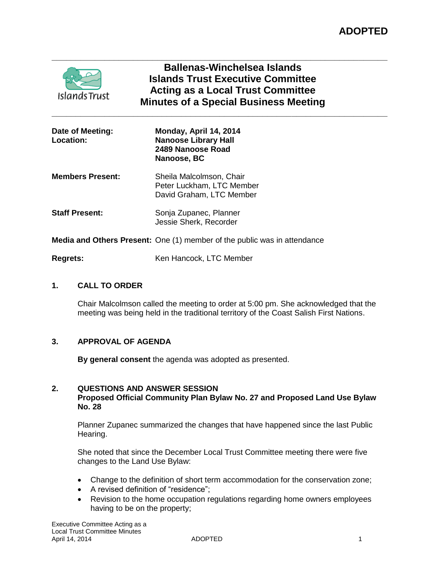

# **Ballenas-Winchelsea Islands Islands Trust Executive Committee Acting as a Local Trust Committee Minutes of a Special Business Meeting**

**\_\_\_\_\_\_\_\_\_\_\_\_\_\_\_\_\_\_\_\_\_\_\_\_\_\_\_\_\_\_\_\_\_\_\_\_\_\_\_\_\_\_\_\_\_\_\_\_\_\_\_\_\_\_\_\_\_\_\_\_\_\_\_\_\_\_\_\_\_\_**

**\_\_\_\_\_\_\_\_\_\_\_\_\_\_\_\_\_\_\_\_\_\_\_\_\_\_\_\_\_\_\_\_\_\_\_\_\_\_\_\_\_\_\_\_\_\_\_\_\_\_\_\_\_\_\_\_\_\_\_\_\_\_\_\_\_\_\_\_\_\_**

| Date of Meeting:<br><b>Location:</b> | Monday, April 14, 2014<br><b>Nanoose Library Hall</b><br>2489 Nanoose Road<br>Nanoose, BC |
|--------------------------------------|-------------------------------------------------------------------------------------------|
| <b>Members Present:</b>              | Sheila Malcolmson, Chair<br>Peter Luckham, LTC Member<br>David Graham, LTC Member         |
| <b>Staff Present:</b>                | Sonja Zupanec, Planner<br>Jessie Sherk, Recorder                                          |
|                                      | <b>Media and Others Present:</b> One (1) member of the public was in attendance           |

**Regrets:** Ken Hancock, LTC Member

## **1. CALL TO ORDER**

Chair Malcolmson called the meeting to order at 5:00 pm. She acknowledged that the meeting was being held in the traditional territory of the Coast Salish First Nations.

## **3. APPROVAL OF AGENDA**

**By general consent** the agenda was adopted as presented.

### **2. QUESTIONS AND ANSWER SESSION Proposed Official Community Plan Bylaw No. 27 and Proposed Land Use Bylaw No. 28**

Planner Zupanec summarized the changes that have happened since the last Public Hearing.

She noted that since the December Local Trust Committee meeting there were five changes to the Land Use Bylaw:

- Change to the definition of short term accommodation for the conservation zone;
- A revised definition of "residence";
- Revision to the home occupation regulations regarding home owners employees having to be on the property;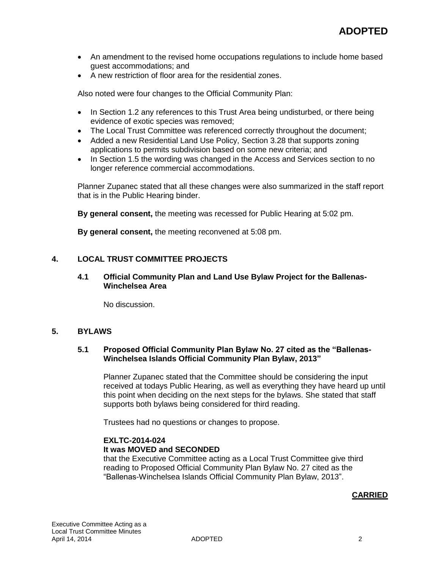- An amendment to the revised home occupations regulations to include home based guest accommodations; and
- A new restriction of floor area for the residential zones.

Also noted were four changes to the Official Community Plan:

- In Section 1.2 any references to this Trust Area being undisturbed, or there being evidence of exotic species was removed;
- The Local Trust Committee was referenced correctly throughout the document;
- Added a new Residential Land Use Policy, Section 3.28 that supports zoning applications to permits subdivision based on some new criteria; and
- In Section 1.5 the wording was changed in the Access and Services section to no longer reference commercial accommodations.

Planner Zupanec stated that all these changes were also summarized in the staff report that is in the Public Hearing binder.

**By general consent,** the meeting was recessed for Public Hearing at 5:02 pm.

**By general consent,** the meeting reconvened at 5:08 pm.

### **4. LOCAL TRUST COMMITTEE PROJECTS**

#### **4.1 Official Community Plan and Land Use Bylaw Project for the Ballenas-Winchelsea Area**

No discussion.

### **5. BYLAWS**

### **5.1 Proposed Official Community Plan Bylaw No. 27 cited as the "Ballenas-Winchelsea Islands Official Community Plan Bylaw, 2013"**

Planner Zupanec stated that the Committee should be considering the input received at todays Public Hearing, as well as everything they have heard up until this point when deciding on the next steps for the bylaws. She stated that staff supports both bylaws being considered for third reading.

Trustees had no questions or changes to propose.

#### **EXLTC-2014-024 It was MOVED and SECONDED**

that the Executive Committee acting as a Local Trust Committee give third reading to Proposed Official Community Plan Bylaw No. 27 cited as the "Ballenas-Winchelsea Islands Official Community Plan Bylaw, 2013".

### **CARRIED**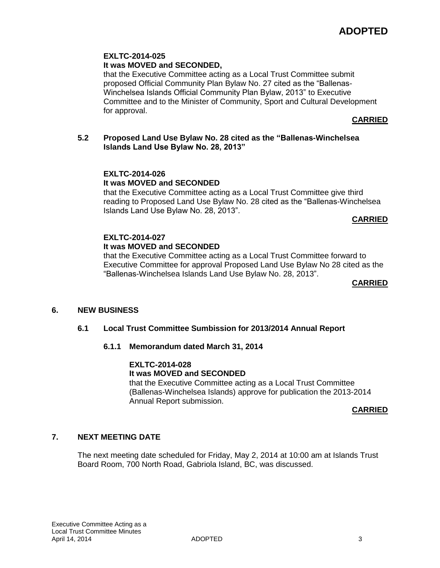### **EXLTC-2014-025 It was MOVED and SECONDED,**

that the Executive Committee acting as a Local Trust Committee submit proposed Official Community Plan Bylaw No. 27 cited as the "Ballenas-Winchelsea Islands Official Community Plan Bylaw, 2013" to Executive Committee and to the Minister of Community, Sport and Cultural Development for approval.

**CARRIED**

### **5.2 Proposed Land Use Bylaw No. 28 cited as the "Ballenas-Winchelsea Islands Land Use Bylaw No. 28, 2013"**

## **EXLTC-2014-026 It was MOVED and SECONDED**

that the Executive Committee acting as a Local Trust Committee give third reading to Proposed Land Use Bylaw No. 28 cited as the "Ballenas-Winchelsea Islands Land Use Bylaw No. 28, 2013".

**CARRIED**

# **EXLTC-2014-027**

# **It was MOVED and SECONDED**

that the Executive Committee acting as a Local Trust Committee forward to Executive Committee for approval Proposed Land Use Bylaw No 28 cited as the "Ballenas-Winchelsea Islands Land Use Bylaw No. 28, 2013".

### **CARRIED**

## **6. NEW BUSINESS**

## **6.1 Local Trust Committee Sumbission for 2013/2014 Annual Report**

## **6.1.1 Memorandum dated March 31, 2014**

#### **EXLTC-2014-028 It was MOVED and SECONDED**

that the Executive Committee acting as a Local Trust Committee (Ballenas-Winchelsea Islands) approve for publication the 2013-2014 Annual Report submission.

### **CARRIED**

## **7. NEXT MEETING DATE**

The next meeting date scheduled for Friday, May 2, 2014 at 10:00 am at Islands Trust Board Room, 700 North Road, Gabriola Island, BC, was discussed.